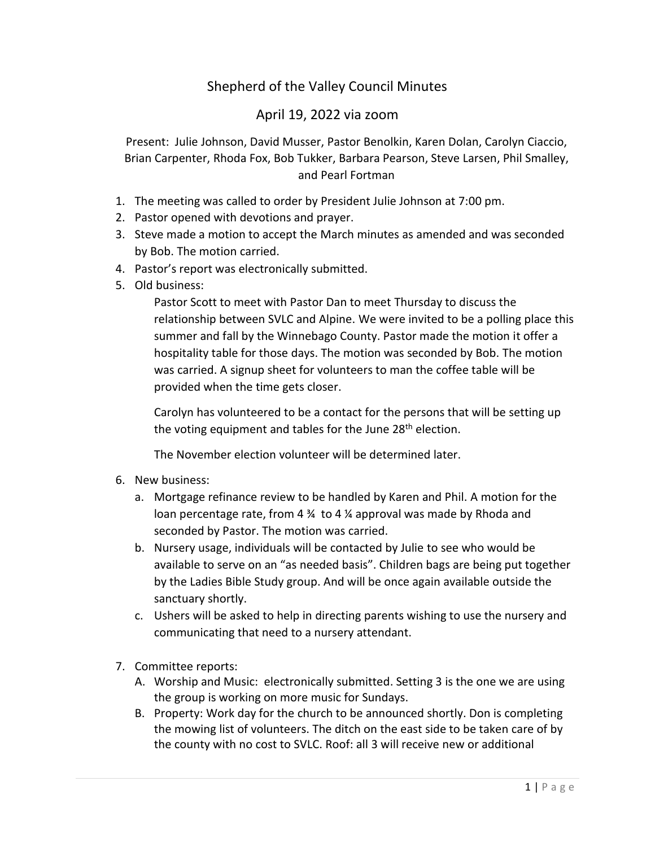## Shepherd of the Valley Council Minutes

## April 19, 2022 via zoom

Present: Julie Johnson, David Musser, Pastor Benolkin, Karen Dolan, Carolyn Ciaccio, Brian Carpenter, Rhoda Fox, Bob Tukker, Barbara Pearson, Steve Larsen, Phil Smalley, and Pearl Fortman

- 1. The meeting was called to order by President Julie Johnson at 7:00 pm.
- 2. Pastor opened with devotions and prayer.
- 3. Steve made a motion to accept the March minutes as amended and was seconded by Bob. The motion carried.
- 4. Pastor's report was electronically submitted.
- 5. Old business:

Pastor Scott to meet with Pastor Dan to meet Thursday to discuss the relationship between SVLC and Alpine. We were invited to be a polling place this summer and fall by the Winnebago County. Pastor made the motion it offer a hospitality table for those days. The motion was seconded by Bob. The motion was carried. A signup sheet for volunteers to man the coffee table will be provided when the time gets closer.

Carolyn has volunteered to be a contact for the persons that will be setting up the voting equipment and tables for the June  $28<sup>th</sup>$  election.

The November election volunteer will be determined later.

- 6. New business:
	- a. Mortgage refinance review to be handled by Karen and Phil. A motion for the loan percentage rate, from 4  $\frac{3}{4}$  to 4  $\frac{7}{4}$  approval was made by Rhoda and seconded by Pastor. The motion was carried.
	- b. Nursery usage, individuals will be contacted by Julie to see who would be available to serve on an "as needed basis". Children bags are being put together by the Ladies Bible Study group. And will be once again available outside the sanctuary shortly.
	- c. Ushers will be asked to help in directing parents wishing to use the nursery and communicating that need to a nursery attendant.
- 7. Committee reports:
	- A. Worship and Music: electronically submitted. Setting 3 is the one we are using the group is working on more music for Sundays.
	- B. Property: Work day for the church to be announced shortly. Don is completing the mowing list of volunteers. The ditch on the east side to be taken care of by the county with no cost to SVLC. Roof: all 3 will receive new or additional